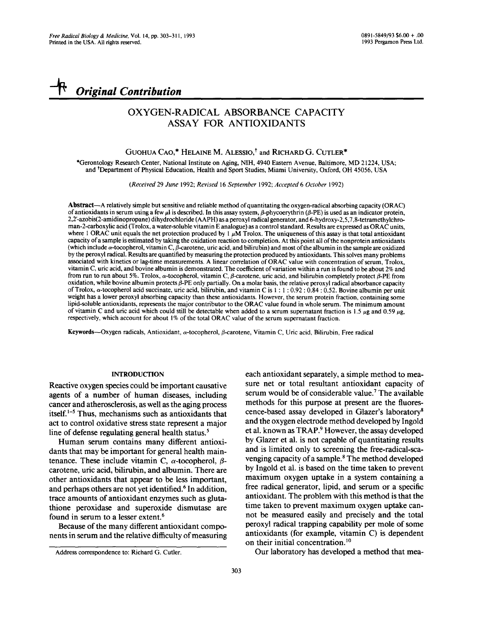# *Original Contribution*

# OXYGEN-RADICAL ABSORBANCE CAPACITY ASSAY FOR ANTIOXIDANTS

# GUOHUA CAO,\* HELAINE M. ALESSIO,<sup>†</sup> and RICHARD G. CUTLER<sup>\*</sup>

\*Gerontology Research Center, National Institute on Aging, NIH, 4940 Eastern Avenue, Baltimore, MD 21224, USA; and tDepartment of Physical Education, Health and Sport Studies, Miami University, Oxford, OH 45056, USA

*(Received* 29 *June* 1992; *Revised* 16 *September* 1992; *Accepted 6 October* 1992)

Abstract--A relatively simple but sensitive and reliable method of quantitating the oxygen-radical absorbing capacity (ORAC) of antioxidants in serum using a few  $\mu$  is described. In this assay system,  $\beta$ -phycoerythrin ( $\beta$ -PE) is used as an indicator protein, 2,2'-azobis(2-amidinopropane) dihydrochloride (AAPH) as a peroxyl radical generator, and 6-hydroxy-2,5,7,8-tetramethylchroman-2-carboxylic acid (Trolox, a water-soluble vitamin E analogue) as a control standard. Results are expressed as ORAC units, where 1 ORAC unit equals the net protection produced by 1  $\mu$ M Trolox. The uniqueness of this assay is that total antioxidant capacity of a sample is estimated by taking the oxidation reaction to completion. At this point all of the nonprotein antioxidants (which include  $\alpha$ -tocopherol, vitamin C,  $\beta$ -carotene, uric acid, and bilirubin) and most of the albumin in the sample are oxidized by the peroxyl radical. Results are quantified by measuring the protection produced by antioxidants. This solves many problems associated with kinetics or lag-time measurements. A linear correlation of ORAC value with concentration of serum, Trolox, vitamin C, uric acid, and bovine albumin is demonstrated. The coefficient of variation within a run is found to be about 2% and from run to run about 5%. Trolox,  $\alpha$ -tocopherol, vitamin C,  $\beta$ -carotene, uric acid, and bilirubin completely protect  $\beta$ -PE from oxidation, while bovine albumin protects/3-PE only partially. On a molar basis, the relative peroxyl radical absorbance capacity of Trolox,  $\alpha$ -tocopherol acid succinate, uric acid, bilirubin, and vitamin C is 1:1:0.92:0.84:0.52. Bovine albumin per unit weight has a lower peroxyi absorbing capacity than these antioxidants. However, the serum protein fraction, containing some lipid-soluble antioxidants, represents the major contributor to the ORAC value found in whole serum. The minimum amount of vitamin C and uric acid which could still be detectable when added to a serum supernatant fraction is 1.5  $\mu$ g and 0.59  $\mu$ g, respectively, which account for about 1% of the total ORAC value of the serum supernatant fraction.

Keywords--Oxygen radicals, Antioxidant,  $\alpha$ -tocopherol,  $\beta$ -carotene, Vitamin C, Uric acid, Bilirubin, Free radical

#### INTRODUCTION

Reactive oxygen species could be important causative agents of a number of human diseases, including cancer and atherosclerosis, as well as the aging process itself.<sup>1-5</sup> Thus, mechanisms such as antioxidants that act to control oxidative stress state represent a major line of defense regulating general health status.<sup>5</sup>

Human serum contains many different antioxidants that may be important for general health maintenance. These include vitamin C,  $\alpha$ -tocopherol,  $\beta$ carotene, uric acid, bilirubin, and albumin. There are other antioxidants that appear to be less important, and perhaps others are not yet identified.<sup>6</sup> In addition, trace amounts of antioxidant enzymes such as glutathione peroxidase and superoxide dismutase are found in serum to a lesser extent.<sup>6</sup>

Because of the many different antioxidant components in serum and the relative difficulty of measuring each antioxidant separately, a simple method to measure net or total resultant antioxidant capacity of serum would be of considerable value.<sup>7</sup> The available methods for this purpose at present are the fluorescence-based assay developed in Glazer's laboratory<sup>8</sup> and the oxygen electrode method developed by Ingold et al. known as TRAP.<sup>9</sup> However, the assay developed by Glazer et al. is not capable of quantitating results and is limited only to screening the free-radical-scavenging capacity of a sample.<sup>8</sup> The method developed by Ingold et al. is based on the time taken to prevent maximum oxygen uptake in a system containing a free radical generator, lipid, and serum or a specific antioxidant. The problem with this method is that the time taken to prevent maximum oxygen uptake cannot be measured easily and precisely and the total peroxyl radical trapping capability per mole of some antioxidants (for example, vitamin C) is dependent on their initial concentration.<sup>10</sup>

Our laboratory has developed a method that mea-

Address correspondence to: Richard G. Cutler.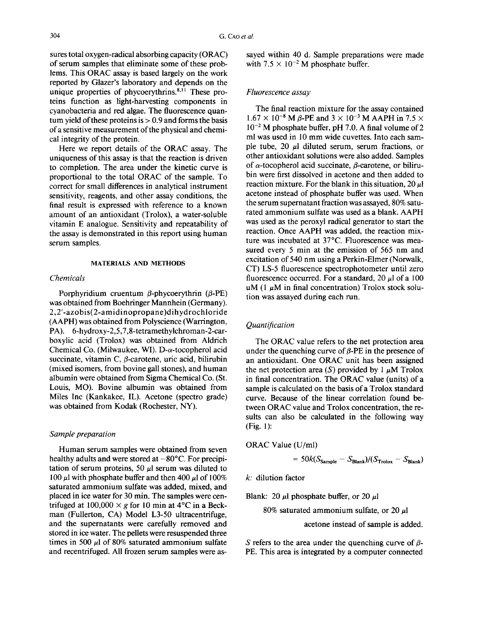sures total oxygen-radical absorbing capacity (ORAC) of serum samples that eliminate some of these problems. This ORAC assay is based largely on the work reported by Glazer's laboratory and depends on the unique properties of phycoerythrins. $8,11$  These proteins function as light-harvesting components in cyanobacteria and red algae. The fluorescence quantum yield of these proteins is  $> 0.9$  and forms the basis of a sensitive measurement of the physical and chemical integrity of the protein.

Here we report details of the ORAC assay. The uniqueness of this assay is that the reaction is driven to completion. The area under the kinetic curve is proportional to the total ORAC of the sample. To correct for small differences in analytical instrument sensitivity, reagents, and other assay conditions, the final result is expressed with reference to a known amount of an antioxidant (Trolox), a water-soluble vitamin E analogue. Sensitivity and repeatability of the assay is demonstrated in this report using human serum samples.

#### MATERIALS AND METHODS

#### *Chemicals*

Porphyridium cruentum  $\beta$ -phycoerythrin ( $\beta$ -PE) was obtained from Boehringer Mannhein (Germany). 2,2'-azobis(2-amidinopropane)dihydrochloride (AAPH) was obtained from Polyscience (Warrington, PA). 6-hydroxy-2,5,7,8-tetramethylchroman-2-carboxylic acid (Trolox) was obtained from Aldrich Chemical Co. (Milwaukee, WI).  $D-\alpha$ -tocopherol acid succinate, vitamin C,  $\beta$ -carotene, uric acid, bilirubin (mixed isomers, from bovine gall stones), and human albumin were obtained from Sigma Chemical Co. (St. Louis, MO). Bovine albumin was obtained from Miles Inc (Kankakee, IL). Acetone (spectro grade) was obtained from Kodak (Rochester, NY).

# *Sample preparation*

Human serum samples were obtained from seven healthy adults and were stored at  $-80^{\circ}$ C. For precipitation of serum proteins, 50  $\mu$ l serum was diluted to 100  $\mu$ l with phosphate buffer and then 400  $\mu$ l of 100% saturated ammonium sulfate was added, mixed, and placed in ice water for 30 min. The samples were centrifuged at  $100,000 \times g$  for 10 min at 4°C in a Beckman (Fullerton, CA) Model L3-50 ultracentrifuge, and the supernatants were carefully removed and stored in ice water. The pellets were resuspended three times in 500  $\mu$ l of 80% saturated ammonium sulfate and recentrifuged. All frozen serum samples were assayed within 40 d. Sample preparations were made with  $7.5 \times 10^{-2}$  M phosphate buffer.

### *Fluorescence assay*

The final reaction mixture for the assay contained  $1.67 \times 10^{-8}$  M  $\beta$ -PE and  $3 \times 10^{-3}$  M AAPH in 7.5  $\times$  $10^{-2}$  M phosphate buffer, pH 7.0. A final volume of 2 ml was used in 10 mm wide cuvettes. Into each sample tube, 20  $\mu$ l diluted serum, serum fractions, or other antioxidant solutions were also added. Samples of  $\alpha$ -tocopherol acid succinate,  $\beta$ -carotene, or bilirubin were first dissolved in acetone and then added to reaction mixture. For the blank in this situation, 20  $\mu$ l acetone instead of phosphate buffer was used. When the serum supernatant fraction was assayed, 80% saturated ammonium sulfate was used as a blank. AAPH was used as the peroxyl radical generator to start the reaction. Once AAPH was added, the reaction mixture was incubated at 37°C. Fluorescence was measured every 5 min at the emission of 565 nm and excitation of 540 nm using a Perkin-Elmer (Norwalk, CT) LS-5 fluorescence spectrophotometer until zero fluorescence occurred. For a standard, 20  $\mu$ l of a 100 uM (1  $\mu$ M in final concentration) Trolox stock solution was assayed during each run.

# *Quantification*

The ORAC value refers to the net protection area under the quenching curve of  $\beta$ -PE in the presence of an antioxidant. One ORAC unit has been assigned the net protection area (S) provided by 1  $\mu$ M Trolox in final concentration. The ORAC value (units) of a sample is calculated on the basis of a Trolox standard curve. Because of the linear correlation found between ORAC value and Trolox concentration, the results can also be calculated in the following way (Fig. 1):

ORAC Value (U/ml)

$$
= 50k(S_{\text{Sample}} - S_{\text{Blank}})/(S_{\text{Trolox}} - S_{\text{Blank}})
$$

*k:* dilution factor

Blank: 20  $\mu$ l phosphate buffer, or 20  $\mu$ l

80% saturated ammonium sulfate, or 20  $\mu$ l

acetone instead of sample is added.

S refers to the area under the quenching curve of  $\beta$ -PE. This area is integrated by a computer connected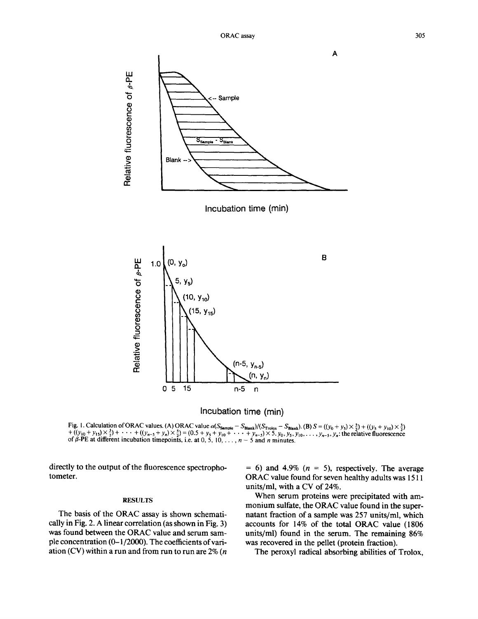



Fig. 1. Calculation of ORAC values. (A) ORAC value  $\alpha(S_{\text{Sample}} - S_{\text{Black}})/(S_{\text{Trolox}} - S_{\text{Rank}})$ . (B)  $S = ((y_0 + y_5) \times \frac{3}{5}) + ((y_5 + y_{10}) \times \frac{5}{5})$  $\tau$  (U<sub>10</sub> + y<sub>15</sub>)  $\times$   $\frac{1}{2}$  + ··· + (U<sub>n-5</sub> + y<sub>n</sub>)  $\times$   $\frac{1}{2}$  = (0.5 + y<sub>5</sub> + y<sub>10</sub> + ··· + y<sub>n-5</sub>)  $\times$  5. y<sub>0</sub>, y<sub>5</sub>, y<sub>10</sub>,..., y<sub>n-5</sub>, y<sub>n</sub>: the relative fluorescence<br>of β-PE at different incubation timep

directly to the output of the fluorescence spectrophotometer.

#### RESULTS

The basis of the ORAC assay is shown schematically in Fig. 2. A linear correlation (as shown in Fig. 3) was found between the ORAC value and serum sample concentration (0-1/2000). The coefficients of variation (CV) within a run and from run to run are  $2\%$  (*n*   $= 6$ ) and 4.9% ( $n = 5$ ), respectively. The average ORAC value found for seven healthy adults was 1511 units/ml, with a CV of 24%.

When serum proteins were precipitated with ammonium sulfate, the ORAC value found in the supernatant fraction of a sample was 257 units/ml, which accounts for 14% of the total ORAC value (1806 units/ml) found in the serum. The remaining 86% was recovered in the pellet (protein fraction).

The peroxyl radical absorbing abilities of Trolox,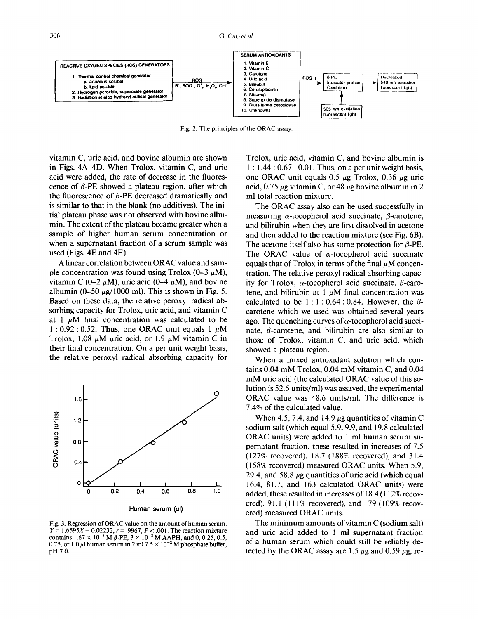306 G. CAO *et al.* 



Fig. 2. The principles of the ORAC assay.

vitamin C, uric acid, and bovine albumin are shown in Figs. 4A-4D. When Trolox, vitamin C, and uric acid were added, the rate of decrease in the fluorescence of  $\beta$ -PE showed a plateau region, after which the fluorescence of  $\beta$ -PE decreased dramatically and is similar to that in the blank (no additives). The initial plateau phase was not observed with bovine albumin. The extent of the plateau became greater when a sample of higher human serum concentration or when a supernatant fraction of a serum sample was used (Figs. 4E and 4F).

A linear correlation between ORAC value and sample concentration was found using Trolox  $(0-3 \mu M)$ , vitamin C (0-2  $\mu$ M), uric acid (0-4  $\mu$ M), and bovine albumin (0-50  $\mu$ g/1000 ml). This is shown in Fig. 5. Based on these data, the relative peroxyl radical absorbing capacity for Trolox, uric acid, and vitamin C at 1  $\mu$ M final concentration was calculated to be 1:0.92:0.52. Thus, one ORAC unit equals 1  $\mu$ M Trolox, 1.08  $\mu$ M uric acid, or 1.9  $\mu$ M vitamin C in their final concentration. On a per unit weight basis, the relative peroxyl radical absorbing capacity for



Fig. 3. Regression of ORAC value on the amount of human serum.  $Y = 1.6595X - 0.02232$ ,  $r = .9967$ ,  $P < .001$ . The reaction mixture contains  $1.67 \times 10^{-8}$  M  $\beta$ -PE,  $3 \times 10^{-3}$  M AAPH, and 0, 0.25, 0.5, 0.75, or 1.0  $\mu$ l human serum in 2 ml 7.5  $\times$  10<sup>-2</sup> M phosphate buffer, pH 7.0.

Trolox, uric acid, vitamin C, and bovine albumin is **1 :** 1.44 : 0.67 : 0.01. Thus, on a per unit weight basis, one ORAC unit equals 0.5  $\mu$ g Trolox, 0.36  $\mu$ g uric acid, 0.75  $\mu$ g vitamin C, or 48  $\mu$ g bovine albumin in 2 ml total reaction mixture.

The ORAC assay also can be used successfully in measuring  $\alpha$ -tocopherol acid succinate,  $\beta$ -carotene, and bilirubin when they are first dissolved in acetone and then added to the reaction mixture (see Fig. 6B). The acetone itself also has some protection for  $\beta$ -PE. The ORAC value of  $\alpha$ -tocopherol acid succinate equals that of Trolox in terms of the final  $\mu$ M concentration. The relative peroxyl radical absorbing capacity for Trolox,  $\alpha$ -tocopherol acid succinate,  $\beta$ -carotene, and bilirubin at 1  $\mu$ M final concentration was calculated to be  $1:1:0.64:0.84$ . However, the  $\beta$ carotene which we used was obtained several years ago. The quenching curves of  $\alpha$ -tocopherol acid succinate,  $\beta$ -carotene, and bilirubin are also similar to those of Trolox, vitamin C, and uric acid, which showed a plateau region.

When a mixed antioxidant solution which contains 0.04 mM Trolox, 0.04 mM vitamin C, and 0.04 mM uric acid (the calculated ORAC value of this solution is 52.5 units/ml) was assayed, the experimental ORAC value was 48.6 units/ml. The difference is 7.4% of the calculated value.

When 4.5, 7.4, and 14.9  $\mu$ g quantities of vitamin C sodium salt (which equal 5.9, 9.9, and 19.8 calculated ORAC units) were added to 1 ml human serum supernatant fraction, these resulted in increases of 7.5 (127% recovered), 18.7 (188% recovered), and 31.4  $(158\%$  recovered) measured ORAC units. When 5.9, 29.4, and 58.8  $\mu$ g quantities of uric acid (which equal 16.4, 81.7, and 163 calculated ORAC units) were added, these resulted in increases of 18.4 ( 112% recovered), 91.1 (111% recovered), and 179 (109% recovered) measured ORAC units.

The minimum amounts of vitamin C (sodium salt) and uric acid added to 1 ml supernatant fraction of a human serum which could still be reliably detected by the ORAC assay are 1.5  $\mu$ g and 0.59  $\mu$ g, re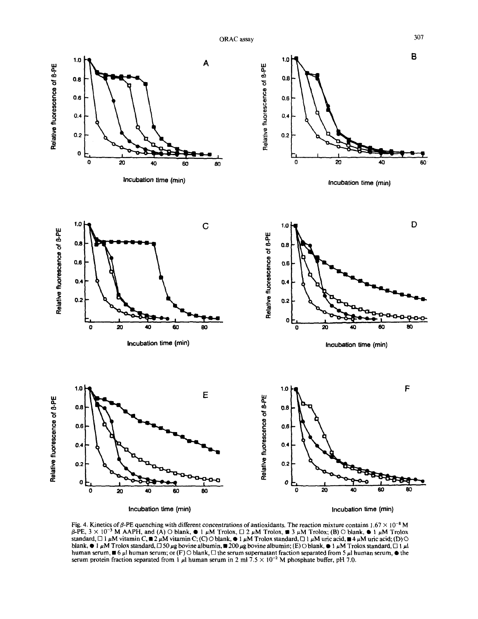ORAC assay 307



Fig. 4. Kinetics of  $\beta$ -PE quenching with different concentrations of antioxidants. The reaction mixture contains  $1.67 \times 10^{-8}$  M  $\beta$ -PE,  $3 \times 10^{-3}$  M AAPH, and (A) O blank,  $\bullet$  1  $\mu$ M Trolox,  $\Box$  2  $\mu$ M Trolox,  $\blacksquare$  3  $\mu$ M Trolox; (B) O blank,  $\bullet$  1  $\mu$ M Trolox standard,  $\Box$  1 µM vitamin C,  $\blacksquare$  2 µM vitamin C; (C)  $\bigcirc$  blank,  $\bullet$  1 µM Trolox standard,  $\Box$  1 µM uric acid,  $\blacksquare$  4 µM uric acid; (D)  $\bigcirc$ blank,  $\bullet$  1  $\mu$ M Trolox standard,  $\Box$  50  $\mu$ g bovine albumin,  $\Box$  200  $\mu$ g bovine albumin; (E) O blank,  $\bullet$  1  $\mu$ M Trolox standard,  $\Box$  1  $\mu$ l human serum,  $\blacksquare$  6 µl human serum; or (F)  $\bigcirc$  blank,  $\Box$  the serum supernatant fraction separated from 5 µl human serum,  $\blacksquare$  the serum protein fraction separated from 1  $\mu$ l human serum in 2 ml 7.5  $\times$  10<sup>-2</sup> M phosphate buffer, pH 7.0.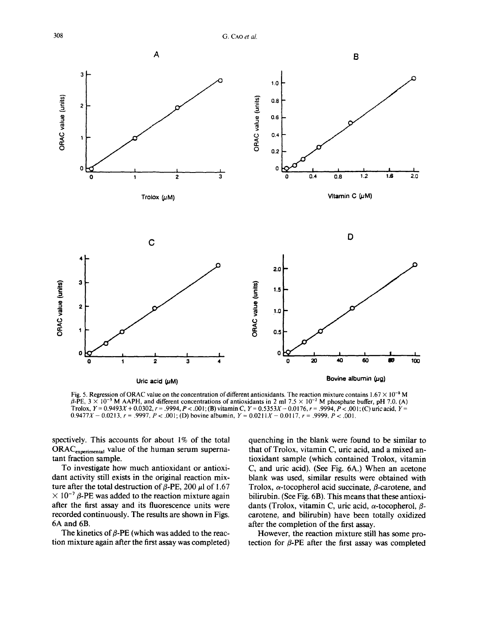308 G. CAO *et al.* 



Fig. 5. Regression of ORAC value on the concentration of different antioxidants. The reaction mixture contains  $1.67 \times 10^{-8}$  M  $\beta$ -PE,  $3 \times 10^{-3}$  M AAPH, and different concentrations of antioxidants in 2 ml 7.5  $\times$  10<sup>-2</sup> M phosphate buffer, pH 7.0. (A) Trolox,  $Y = 0.9493X + 0.0302$ ,  $r = .9994$ ,  $P < .001$ ; (B) vitamin C,  $Y = 0.5353X - 0.0176$ ,  $r = .9994$ ,  $P < .001$ ; (C) uric acid,  $Y =$  $0.9477X - 0.0213$ ,  $r = .9997$ ,  $P < .001$ ; (D) bovine albumin,  $Y = 0.0211X - 0.0117$ ,  $r = .9999$ ,  $P < .001$ .

spectively. This accounts for about 1% of the total  $ORAC_{experimental}$  value of the human serum supernatant fraction sample.

To investigate how much antioxidant or antioxidant activity still exists in the original reaction mixture after the total destruction of  $\beta$ -PE, 200  $\mu$ l of 1.67  $\times$  10<sup>-7</sup>  $\beta$ -PE was added to the reaction mixture again after the first assay and its fluorescence units were recorded continuously. The results are shown in Figs. 6A and 6B.

The kinetics of  $\beta$ -PE (which was added to the reaction mixture again after the first assay was completed) quenching in the blank were found to be similar to that of Trolox, vitamin C, uric acid, and a mixed antioxidant sample (which contained Trolox, vitamin C, and uric acid). (See Fig. 6A.) When an acetone blank was used, similar results were obtained with Trolox,  $\alpha$ -tocopherol acid succinate,  $\beta$ -carotene, and bilirubin. (See Fig. 6B). This means that these antioxidants (Trolox, vitamin C, uric acid,  $\alpha$ -tocopherol,  $\beta$ carotene, and bilirubin) have been totally oxidized after the completion of the first assay.

However, the reaction mixture still has some protection for  $\beta$ -PE after the first assay was completed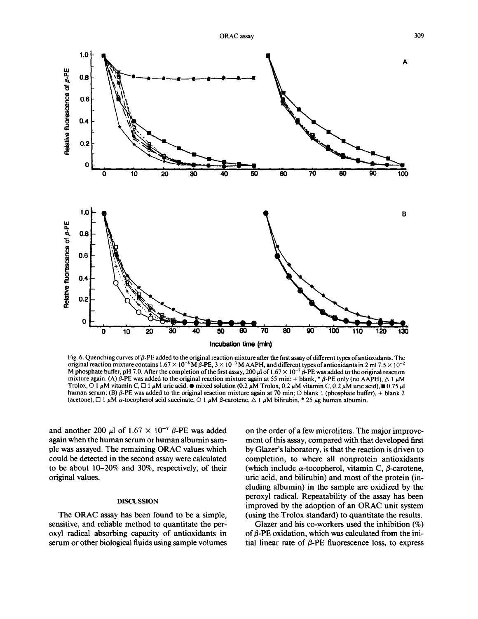

Fig. 6. Quenching curves of  $\beta$ -PE added to the original reaction mixture after the first assay of different types of antioxidants. The original reaction mixture contains  $1.67 \times 10^{-8}$  M  $\beta$ -PE,  $3 \times 10^{-3}$  M AAPH, and different types of antioxidants in 2 ml 7.5  $\times$  10<sup>-2</sup> M phosphate buffer, pH 7.0. After the completion of the first assay, 200  $\mu$  of 1.67  $\times$  10<sup>-7</sup>  $\beta$ -PE was added to the original reaction mixture again. (A)  $\beta$ -PE was added to the original reaction mixture again at 55 min; + blank, \* $\beta$ -PE only (no AAPH),  $\Delta$  1  $\mu$ M Trolox, O 1  $\mu$ M vitamin C,  $\Box$  1  $\mu$ M uric acid,  $\bullet$  mixed solution (0.2  $\mu$ M Trolox, 0.2  $\mu$ M vitamin C, 0.2  $\mu$ M uric acid),  $\bullet$  0.75  $\mu$ l human serum; (B)  $\beta$ -PE was added to the original reaction mixture again at 70 min; O blank 1 (phosphate buffer), + blank 2 (acetone),  $\Box$  1  $\mu$ M  $\alpha$ -tocopherol acid succinate,  $\bigcirc$  1  $\mu$ M  $\beta$ -carotene,  $\triangle$  1  $\mu$ M bilirubin, \* 25  $\mu$ g human albumin.

and another 200  $\mu$ l of 1.67  $\times$  10<sup>-7</sup>  $\beta$ -PE was added again when the human serum or human albumin sample was assayed. The remaining ORAC values which could be detected in the second assay were calculated to be about 10-20% and 30%, respectively, of their original values.

#### DISCUSSION

The ORAC assay has been found to be a simple, sensitive, and reliable method to quantitate the peroxyl radical absorbing capacity of antioxidants in serum or other biological fluids using sample volumes on the order of a few microliters. The major improvement of this assay, compared with that developed first by Glazer's laboratory, is that the reaction is driven to completion, to where all nonprotein antioxidants (which include  $\alpha$ -tocopherol, vitamin C,  $\beta$ -carotene, uric acid, and bilirubin) and most of the protein (including albumin) in the sample are oxidized by the peroxyl radical. Repeatability of the assay has been improved by the adoption of an ORAC unit system (using the Trolox standard) to quantitate the results.

Glazer and his co-workers used the inhibition (%) of  $\beta$ -PE oxidation, which was calculated from the initial linear rate of  $\beta$ -PE fluorescence loss, to express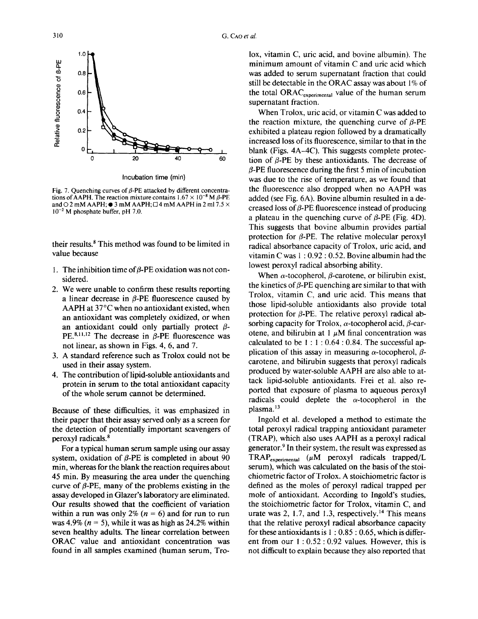

**Incubation time (min)** 

Fig. 7. Quenching curves of  $\beta$ -PE attacked by different concentrations of AAPH. The reaction mixture contains  $1.67 \times 10^{-8}$  M  $\beta$ -PE and  $\odot$  2 mM AAPH;  $\odot$  3 mM AAPH;  $\Box$  4 mM AAPH in 2 ml 7.5  $\times$  $10^{-2}$  M phosphate buffer, pH 7.0.

their results. $\delta$  This method was found to be limited in value because

- 1. The inhibition time of  $\beta$ -PE oxidation was not considered.
- 2. We were unable to confirm these results reporting a linear decrease in  $\beta$ -PE fluorescence caused by AAPH at 37°C when no antioxidant existed, when an antioxidant was completely oxidized, or when an antioxidant could only partially protect  $\beta$ -PE.<sup>8,11,12</sup> The decrease in  $\beta$ -PE fluorescence was not linear, as shown in Figs. 4, 6, and 7.
- 3. A standard reference such as Trolox could not be used in their assay system.
- 4. The contribution of lipid-soluble antioxidants and protein in serum to the total antioxidant capacity of the whole serum cannot be determined.

Because of these difficulties, it was emphasized in their paper that their assay served only as a screen for the detection of potentially important scavengers of peroxyl radicals.<sup>8</sup>

For a typical human serum sample using our assay system, oxidation of  $\beta$ -PE is completed in about 90 min, whereas for the blank the reaction requires about 45 min. By measuring the area under the quenching curve of  $\beta$ -PE, many of the problems existing in the assay developed in Glazer's laboratory are eliminated. Our results showed that the coefficient of variation within a run was only 2% ( $n = 6$ ) and for run to run was 4.9% ( $n = 5$ ), while it was as high as 24.2% within seven healthy adults. The linear correlation between ORAC value and antioxidant concentration was found in all samples examined (human serum, Trolox, vitamin C, uric acid, and bovine albumin). The minimum amount of vitamin C and uric acid which was added to serum supernatant fraction that could still be detectable in the ORAC assay was about 1% of the total ORAC<sub>experimental</sub> value of the human serum supernatant fraction.

When Trolox, uric acid, or vitamin C was added to the reaction mixture, the quenching curve of  $\beta$ -PE exhibited a plateau region followed by a dramatically increased loss of its fluorescence, similar to that in the blank (Figs. 4A-4C). This suggests complete protection of  $\beta$ -PE by these antioxidants. The decrease of  $\beta$ -PE fluorescence during the first 5 min of incubation was due to the rise of temperature, as we found that the fluorescence also dropped when no AAPH was added (see Fig. 6A). Bovine albumin resulted in a decreased loss of  $\beta$ -PE fluorescence instead of producing a plateau in the quenching curve of  $\beta$ -PE (Fig. 4D). This suggests that bovine albumin provides partial protection for  $\beta$ -PE. The relative molecular peroxyl radical absorbance capacity of Trolox, uric acid, and vitamin C was 1 : 0.92 : 0.52. Bovine albumin had the lowest peroxyl radical absorbing ability.

When  $\alpha$ -tocopherol,  $\beta$ -carotene, or bilirubin exist, the kinetics of  $\beta$ -PE quenching are similar to that with Trolox, vitamin C, and uric acid. This means that those lipid-soluble antioxidants also provide total protection for  $\beta$ -PE. The relative peroxyl radical absorbing capacity for Trolox,  $\alpha$ -tocopherol acid,  $\beta$ -carotene, and bilirubin at 1  $\mu$ M final concentration was calculated to be  $1:1:0.64:0.84$ . The successful application of this assay in measuring  $\alpha$ -tocopherol,  $\beta$ carotene, and bilirubin suggests that peroxyl radicals produced by water-soluble AAPH are also able to attack lipid-soluble antioxidants. Frei et al. also reported that exposure of plasma to aqueous peroxyl radicals could deplete the  $\alpha$ -tocopherol in the plasma.<sup>13</sup>

Ingold et al. developed a method to estimate the total peroxyl radical trapping antioxidant parameter (TRAP), which also uses AAPH as a peroxyl radical generator.<sup>9</sup> In their system, the result was expressed as  $TRAP_{experimental}$  ( $\mu$ M peroxyl radicals trapped/L serum), which was calculated on the basis of the stoichiometric factor of Trolox. A stoichiometric factor is defined as the moles of peroxyl radical trapped per mole of antioxidant. According to Ingold's studies, the stoichiometric factor for Trolox, vitamin C, and urate was 2, 1.7, and 1.3, respectively.<sup>14</sup> This means that the relative peroxyl radical absorbance capacity for these antioxidants is  $1:0.85:0.65$ , which is different from our 1 : 0.52 : 0.92 values. However, this is not difficult to explain because they also reported that